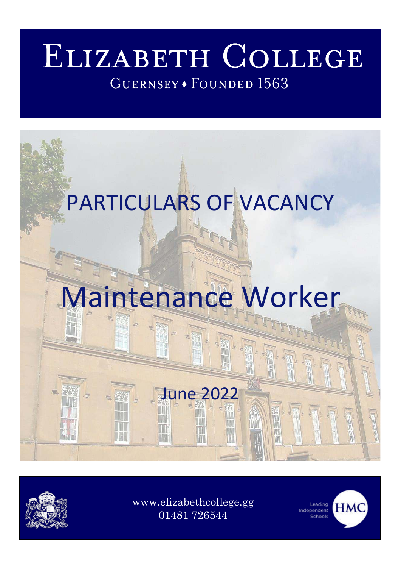# ELIZABETH COLLEGE GUERNSEY · FOUNDED 1563



[www.elizabethcollege.gg](http://www.elizabethcollege.gg/)  01481 726544



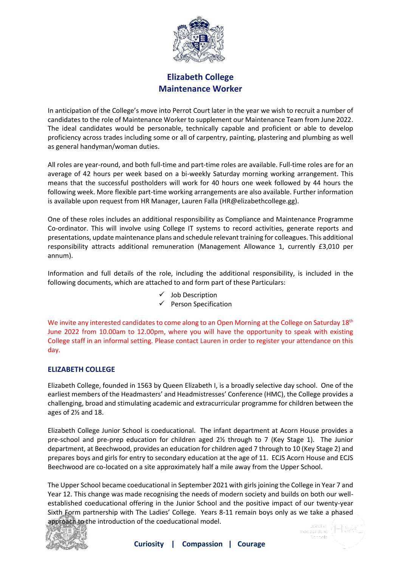

### **Elizabeth College Maintenance Worker**

In anticipation of the College's move into Perrot Court later in the year we wish to recruit a number of candidates to the role of Maintenance Worker to supplement our Maintenance Team from June 2022. The ideal candidates would be personable, technically capable and proficient or able to develop proficiency across trades including some or all of carpentry, painting, plastering and plumbing as well as general handyman/woman duties.

All roles are year-round, and both full-time and part-time roles are available. Full-time roles are for an average of 42 hours per week based on a bi-weekly Saturday morning working arrangement. This means that the successful postholders will work for 40 hours one week followed by 44 hours the following week. More flexible part-time working arrangements are also available. Further information is available upon request from HR Manager, Lauren Falla (HR@elizabethcollege.gg).

One of these roles includes an additional responsibility as Compliance and Maintenance Programme Co-ordinator. This will involve using College IT systems to record activities, generate reports and presentations, update maintenance plans and schedule relevant training for colleagues. This additional responsibility attracts additional remuneration (Management Allowance 1, currently £3,010 per annum).

Information and full details of the role, including the additional responsibility, is included in the following documents, which are attached to and form part of these Particulars:

- $\checkmark$  Job Description
- ✓ Person Specification

We invite any interested candidates to come along to an Open Morning at the College on Saturday  $18<sup>th</sup>$ June 2022 from 10.00am to 12.00pm, where you will have the opportunity to speak with existing College staff in an informal setting. Please contact Lauren in order to register your attendance on this day.

#### **ELIZABETH COLLEGE**

Elizabeth College, founded in 1563 by Queen Elizabeth I, is a broadly selective day school. One of the earliest members of the Headmasters' and Headmistresses' Conference (HMC), the College provides a challenging, broad and stimulating academic and extracurricular programme for children between the ages of 2½ and 18.

Elizabeth College Junior School is coeducational. The infant department at Acorn House provides a pre-school and pre-prep education for children aged 2½ through to 7 (Key Stage 1). The Junior department, at Beechwood, provides an education for children aged 7 through to 10 (Key Stage 2) and prepares boys and girls for entry to secondary education at the age of 11. ECJS Acorn House and ECJS Beechwood are co-located on a site approximately half a mile away from the Upper School.

The Upper School became coeducational in September 2021 with girls joining the College in Year 7 and Year 12. This change was made recognising the needs of modern society and builds on both our wellestablished coeducational offering in the Junior School and the positive impact of our twenty-year Sixth Form partnership with The Ladies' College. Years 8-11 remain boys only as we take a phased approach to the introduction of the coeducational model.

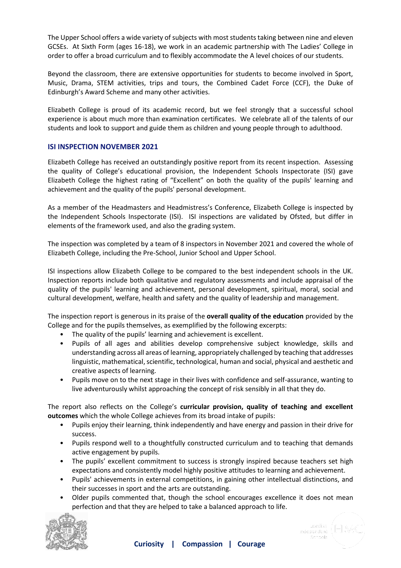The Upper School offers a wide variety of subjects with most students taking between nine and eleven GCSEs. At Sixth Form (ages 16-18), we work in an academic partnership with The Ladies' College in order to offer a broad curriculum and to flexibly accommodate the A level choices of our students.

Beyond the classroom, there are extensive opportunities for students to become involved in Sport, Music, Drama, STEM activities, trips and tours, the Combined Cadet Force (CCF), the Duke of Edinburgh's Award Scheme and many other activities.

Elizabeth College is proud of its academic record, but we feel strongly that a successful school experience is about much more than examination certificates. We celebrate all of the talents of our students and look to support and guide them as children and young people through to adulthood.

#### **ISI INSPECTION NOVEMBER 2021**

Elizabeth College has received an outstandingly positive report from its recent inspection. Assessing the quality of College's educational provision, the Independent Schools Inspectorate (ISI) gave Elizabeth College the highest rating of "Excellent" on both the quality of the pupils' learning and achievement and the quality of the pupils' personal development.

As a member of the Headmasters and Headmistress's Conference, Elizabeth College is inspected by the Independent Schools Inspectorate (ISI). ISI inspections are validated by Ofsted, but differ in elements of the framework used, and also the grading system.

The inspection was completed by a team of 8 inspectors in November 2021 and covered the whole of Elizabeth College, including the Pre-School, Junior School and Upper School.

ISI inspections allow Elizabeth College to be compared to the best independent schools in the UK. Inspection reports include both qualitative and regulatory assessments and include appraisal of the quality of the pupils' learning and achievement, personal development, spiritual, moral, social and cultural development, welfare, health and safety and the quality of leadership and management.

The inspection report is generous in its praise of the **overall quality of the education** provided by the College and for the pupils themselves, as exemplified by the following excerpts:

- The quality of the pupils' learning and achievement is excellent.
- Pupils of all ages and abilities develop comprehensive subject knowledge, skills and understanding across all areas of learning, appropriately challenged by teaching that addresses linguistic, mathematical, scientific, technological, human and social, physical and aesthetic and creative aspects of learning.
- Pupils move on to the next stage in their lives with confidence and self-assurance, wanting to live adventurously whilst approaching the concept of risk sensibly in all that they do.

The report also reflects on the College's **curricular provision, quality of teaching and excellent outcomes** which the whole College achieves from its broad intake of pupils:

- Pupils enjoy their learning, think independently and have energy and passion in their drive for success.
- Pupils respond well to a thoughtfully constructed curriculum and to teaching that demands active engagement by pupils.
- The pupils' excellent commitment to success is strongly inspired because teachers set high expectations and consistently model highly positive attitudes to learning and achievement.
- Pupils' achievements in external competitions, in gaining other intellectual distinctions, and their successes in sport and the arts are outstanding.
- Older pupils commented that, though the school encourages excellence it does not mean perfection and that they are helped to take a balanced approach to life.

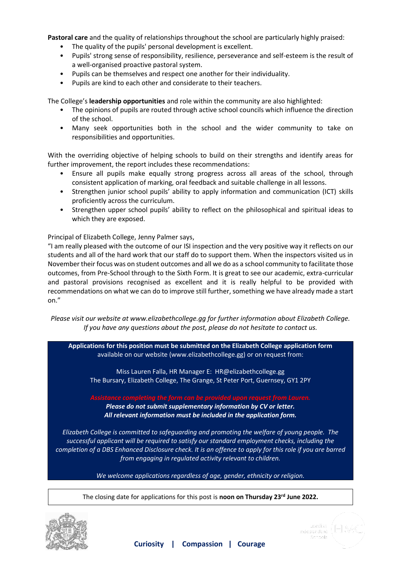**Pastoral care** and the quality of relationships throughout the school are particularly highly praised:

- The quality of the pupils' personal development is excellent.
- Pupils' strong sense of responsibility, resilience, perseverance and self-esteem is the result of a well-organised proactive pastoral system.
- Pupils can be themselves and respect one another for their individuality.
- Pupils are kind to each other and considerate to their teachers.

The College's **leadership opportunities** and role within the community are also highlighted:

- The opinions of pupils are routed through active school councils which influence the direction of the school.
- Many seek opportunities both in the school and the wider community to take on responsibilities and opportunities.

With the overriding objective of helping schools to build on their strengths and identify areas for further improvement, the report includes these recommendations:

- Ensure all pupils make equally strong progress across all areas of the school, through consistent application of marking, oral feedback and suitable challenge in all lessons.
- Strengthen junior school pupils' ability to apply information and communication (ICT) skills proficiently across the curriculum.
- Strengthen upper school pupils' ability to reflect on the philosophical and spiritual ideas to which they are exposed.

Principal of Elizabeth College, Jenny Palmer says,

"I am really pleased with the outcome of our ISI inspection and the very positive way it reflects on our students and all of the hard work that our staff do to support them. When the inspectors visited us in November their focus was on student outcomes and all we do as a school community to facilitate those outcomes, from Pre-School through to the Sixth Form. It is great to see our academic, extra-curricular and pastoral provisions recognised as excellent and it is really helpful to be provided with recommendations on what we can do to improve still further, something we have already made a start on."

*Please visit our website at www.elizabethcollege.gg for further information about Elizabeth College. If you have any questions about the post, please do not hesitate to contact us.* 

**Applications for this position must be submitted on the Elizabeth College application form**  available on our website (www.elizabethcollege.gg) or on request from:

Miss Lauren Falla, HR Manager E: HR@elizabethcollege.gg The Bursary, Elizabeth College, The Grange, St Peter Port, Guernsey, GY1 2PY

*Please do not submit supplementary information by CV or letter. All relevant information must be included in the application form.* 

*Elizabeth College is committed to safeguarding and promoting the welfare of young people. The successful applicant will be required to satisfy our standard employment checks, including the completion of a DBS Enhanced Disclosure check. It is an offence to apply for this role if you are barred from engaging in regulated activity relevant to children.* 

*We welcome applications regardless of age, gender, ethnicity or religion.* 

The closing date for applications for this post is **noon on Thursday 23rd June 2022.** 

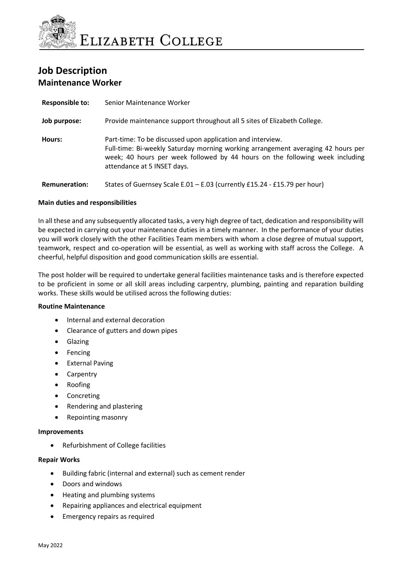

## **Job Description Maintenance Worker**

| <b>Responsible to:</b> | Senior Maintenance Worker                                                                                                                                                                                                                                     |
|------------------------|---------------------------------------------------------------------------------------------------------------------------------------------------------------------------------------------------------------------------------------------------------------|
| Job purpose:           | Provide maintenance support throughout all 5 sites of Elizabeth College.                                                                                                                                                                                      |
| Hours:                 | Part-time: To be discussed upon application and interview.<br>Full-time: Bi-weekly Saturday morning working arrangement averaging 42 hours per<br>week; 40 hours per week followed by 44 hours on the following week including<br>attendance at 5 INSET days. |
| <b>Remuneration:</b>   | States of Guernsey Scale E.01 - E.03 (currently £15.24 - £15.79 per hour)                                                                                                                                                                                     |

#### **Main duties and responsibilities**

In all these and any subsequently allocated tasks, a very high degree of tact, dedication and responsibility will be expected in carrying out your maintenance duties in a timely manner. In the performance of your duties you will work closely with the other Facilities Team members with whom a close degree of mutual support, teamwork, respect and co-operation will be essential, as well as working with staff across the College. A cheerful, helpful disposition and good communication skills are essential.

The post holder will be required to undertake general facilities maintenance tasks and is therefore expected to be proficient in some or all skill areas including carpentry, plumbing, painting and reparation building works. These skills would be utilised across the following duties:

#### **Routine Maintenance**

- Internal and external decoration
- Clearance of gutters and down pipes
- **Glazing**
- **Fencing**
- **External Paving**
- **Carpentry**
- Roofing
- **Concreting**
- Rendering and plastering
- Repointing masonry

#### **Improvements**

• Refurbishment of College facilities

#### **Repair Works**

- Building fabric (internal and external) such as cement render
- Doors and windows
- Heating and plumbing systems
- Repairing appliances and electrical equipment
- Emergency repairs as required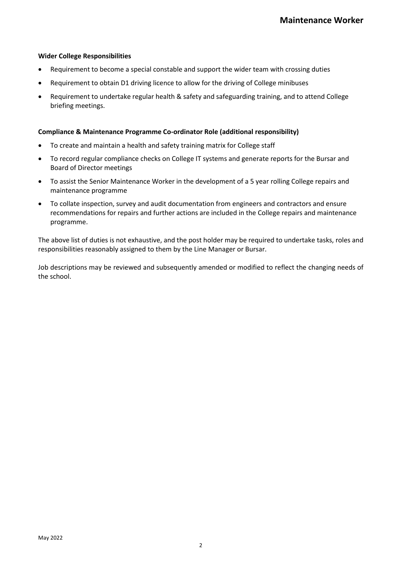#### **Wider College Responsibilities**

- Requirement to become a special constable and support the wider team with crossing duties
- Requirement to obtain D1 driving licence to allow for the driving of College minibuses
- Requirement to undertake regular health & safety and safeguarding training, and to attend College briefing meetings.

#### **Compliance & Maintenance Programme Co-ordinator Role (additional responsibility)**

- To create and maintain a health and safety training matrix for College staff
- To record regular compliance checks on College IT systems and generate reports for the Bursar and Board of Director meetings
- To assist the Senior Maintenance Worker in the development of a 5 year rolling College repairs and maintenance programme
- To collate inspection, survey and audit documentation from engineers and contractors and ensure recommendations for repairs and further actions are included in the College repairs and maintenance programme.

The above list of duties is not exhaustive, and the post holder may be required to undertake tasks, roles and responsibilities reasonably assigned to them by the Line Manager or Bursar.

Job descriptions may be reviewed and subsequently amended or modified to reflect the changing needs of the school.